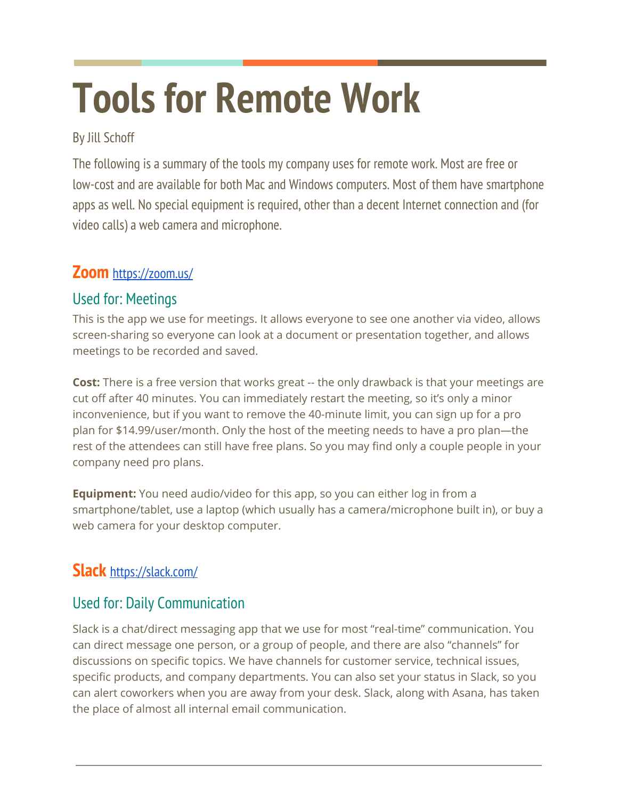# **Tools for Remote Work**

#### By Jill Schoff

The following is a summary of the tools my company uses for remote work. Most are free or low-cost and are available for both Mac and Windows computers. Most of them have smartphone apps as well. No special equipment is required, other than a decent Internet connection and (for video calls) a web camera and microphone.

### **Zoom** <https://zoom.us/>

## Used for: Meetings

This is the app we use for meetings. It allows everyone to see one another via video, allows screen-sharing so everyone can look at a document or presentation together, and allows meetings to be recorded and saved.

**Cost:** There is a free version that works great -- the only drawback is that your meetings are cut off after 40 minutes. You can immediately restart the meeting, so it's only a minor inconvenience, but if you want to remove the 40-minute limit, you can sign up for a pro plan for \$14.99/user/month. Only the host of the meeting needs to have a pro plan—the rest of the attendees can still have free plans. So you may find only a couple people in your company need pro plans.

**Equipment:** You need audio/video for this app, so you can either log in from a smartphone/tablet, use a laptop (which usually has a camera/microphone built in), or buy a web camera for your desktop computer.

## **Slack** <https://slack.com/>

#### Used for: Daily Communication

Slack is a chat/direct messaging app that we use for most "real-time" communication. You can direct message one person, or a group of people, and there are also "channels" for discussions on specific topics. We have channels for customer service, technical issues, specific products, and company departments. You can also set your status in Slack, so you can alert coworkers when you are away from your desk. Slack, along with Asana, has taken the place of almost all internal email communication.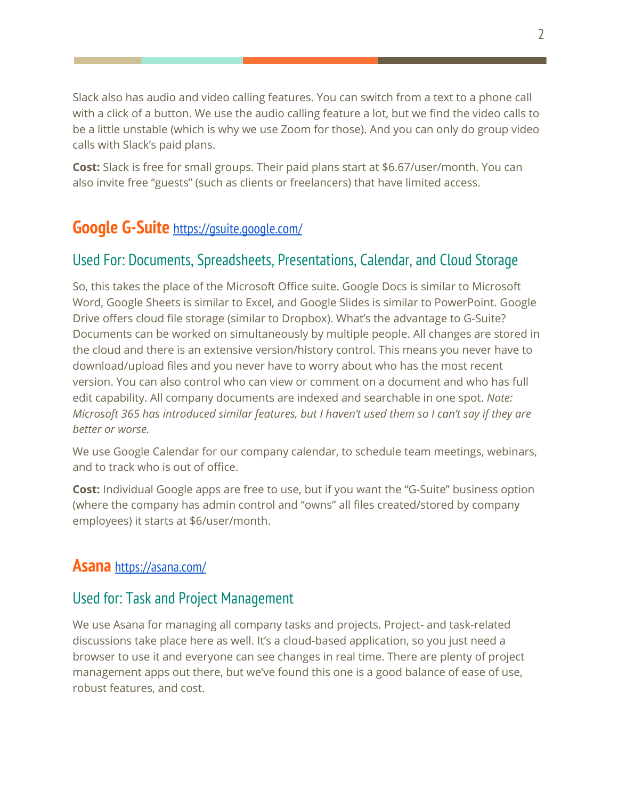Slack also has audio and video calling features. You can switch from a text to a phone call with a click of a button. We use the audio calling feature a lot, but we find the video calls to be a little unstable (which is why we use Zoom for those). And you can only do group video calls with Slack's paid plans.

**Cost:** Slack is free for small groups. Their paid plans start at \$6.67/user/month. You can also invite free "guests" (such as clients or freelancers) that have limited access.

## **Google G-Suite** <https://gsuite.google.com/>

#### Used For: Documents, Spreadsheets, Presentations, Calendar, and Cloud Storage

So, this takes the place of the Microsoft Office suite. Google Docs is similar to Microsoft Word, Google Sheets is similar to Excel, and Google Slides is similar to PowerPoint. Google Drive offers cloud file storage (similar to Dropbox). What's the advantage to G-Suite? Documents can be worked on simultaneously by multiple people. All changes are stored in the cloud and there is an extensive version/history control. This means you never have to download/upload files and you never have to worry about who has the most recent version. You can also control who can view or comment on a document and who has full edit capability. All company documents are indexed and searchable in one spot. *Note: Microsoft 365 has introduced similar features, but I haven't used them so I can't say if they are better or worse.*

We use Google Calendar for our company calendar, to schedule team meetings, webinars, and to track who is out of office.

**Cost:** Individual Google apps are free to use, but if you want the "G-Suite" business option (where the company has admin control and "owns" all files created/stored by company employees) it starts at \$6/user/month.

#### **Asana** <https://asana.com/>

#### Used for: Task and Project Management

We use Asana for managing all company tasks and projects. Project- and task-related discussions take place here as well. It's a cloud-based application, so you just need a browser to use it and everyone can see changes in real time. There are plenty of project management apps out there, but we've found this one is a good balance of ease of use, robust features, and cost.